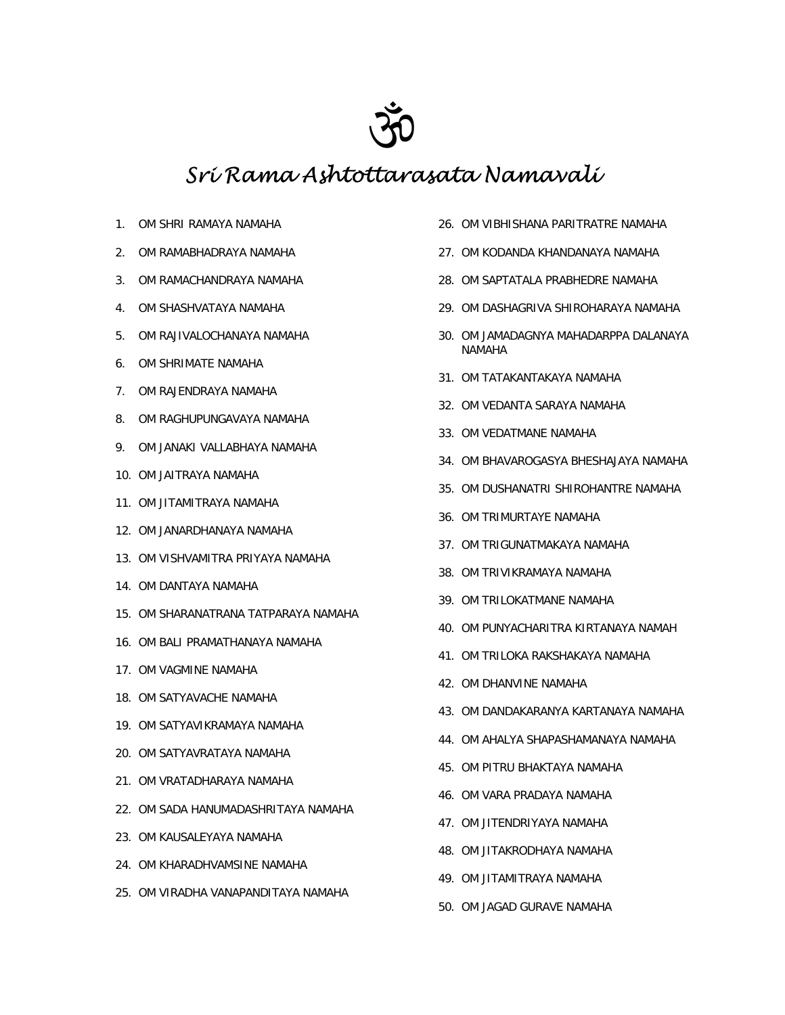

## *Sri Rama Ashtottarasata Namavali*

- 1. OM SHRI RAMAYA NAMAHA
- 2. OM RAMABHADRAYA NAMAHA
- 3. OM RAMACHANDRAYA NAMAHA
- 4. OM SHASHVATAYA NAMAHA
- 5. OM RAJIVALOCHANAYA NAMAHA
- 6. OM SHRIMATE NAMAHA
- 7. OM RAJENDRAYA NAMAHA
- 8. OM RAGHUPUNGAVAYA NAMAHA
- 9. OM JANAKI VALLABHAYA NAMAHA
- 10. OM JAITRAYA NAMAHA
- 11. OM JITAMITRAYA NAMAHA
- 12. OM JANARDHANAYA NAMAHA
- 13. OM VISHVAMITRA PRIYAYA NAMAHA
- 14. OM DANTAYA NAMAHA
- 15. OM SHARANATRANA TATPARAYA NAMAHA
- 16. OM BALI PRAMATHANAYA NAMAHA
- 17. OM VAGMINE NAMAHA
- 18. OM SATYAVACHE NAMAHA
- 19. OM SATYAVIKRAMAYA NAMAHA
- 20. OM SATYAVRATAYA NAMAHA
- 21. OM VRATADHARAYA NAMAHA
- 22. OM SADA HANUMADASHRITAYA NAMAHA
- 23. OM KAUSALEYAYA NAMAHA
- 24. OM KHARADHVAMSINE NAMAHA
- 25. OM VIRADHA VANAPANDITAYA NAMAHA
- 26. OM VIBHISHANA PARITRATRE NAMAHA
- 27. OM KODANDA KHANDANAYA NAMAHA
- 28. OM SAPTATALA PRABHEDRE NAMAHA
- 29. OM DASHAGRIVA SHIROHARAYA NAMAHA
- 30. OM JAMADAGNYA MAHADARPPA DALANAYA NAMAHA
- 31. OM TATAKANTAKAYA NAMAHA
- 32. OM VEDANTA SARAYA NAMAHA
- 33. OM VEDATMANE NAMAHA
- 34. OM BHAVAROGASYA BHESHAJAYA NAMAHA
- 35. OM DUSHANATRI SHIROHANTRE NAMAHA
- 36. OM TRIMURTAYE NAMAHA
- 37. OM TRIGUNATMAKAYA NAMAHA
- 38. OM TRIVIKRAMAYA NAMAHA
- 39. OM TRILOKATMANE NAMAHA
- 40. OM PUNYACHARITRA KIRTANAYA NAMAH
- 41. OM TRILOKA RAKSHAKAYA NAMAHA
- 42. OM DHANVINE NAMAHA
- 43. OM DANDAKARANYA KARTANAYA NAMAHA
- 44. OM AHALYA SHAPASHAMANAYA NAMAHA
- 45. OM PITRU BHAKTAYA NAMAHA
- 46. OM VARA PRADAYA NAMAHA
- 47. OM JITENDRIYAYA NAMAHA
- 48. OM JITAKRODHAYA NAMAHA
- 49. OM JITAMITRAYA NAMAHA
- 50. OM JAGAD GURAVE NAMAHA